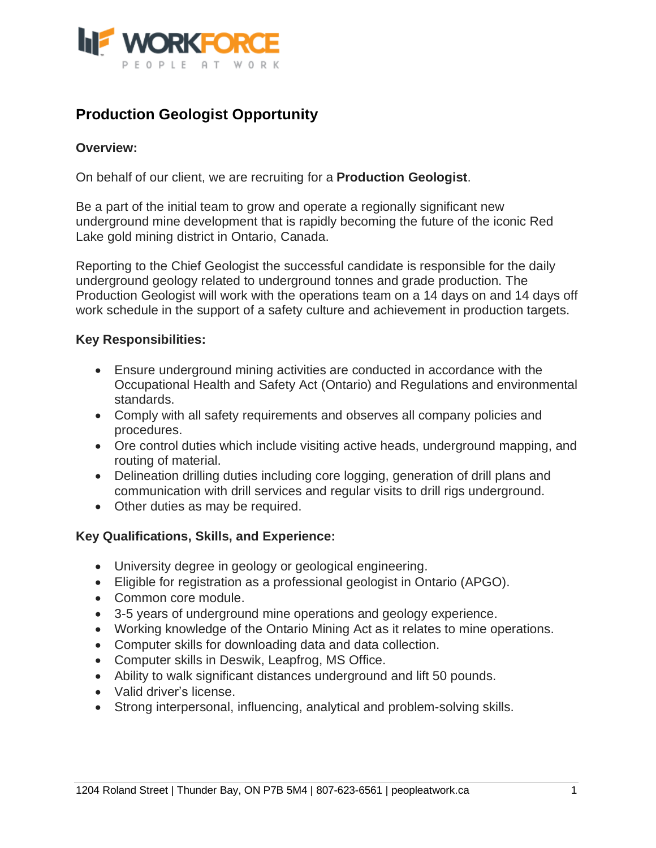

## **Production Geologist Opportunity**

## **Overview:**

On behalf of our client, we are recruiting for a **Production Geologist**.

Be a part of the initial team to grow and operate a regionally significant new underground mine development that is rapidly becoming the future of the iconic Red Lake gold mining district in Ontario, Canada.

Reporting to the Chief Geologist the successful candidate is responsible for the daily underground geology related to underground tonnes and grade production. The Production Geologist will work with the operations team on a 14 days on and 14 days off work schedule in the support of a safety culture and achievement in production targets.

## **Key Responsibilities:**

- Ensure underground mining activities are conducted in accordance with the Occupational Health and Safety Act (Ontario) and Regulations and environmental standards.
- Comply with all safety requirements and observes all company policies and procedures.
- Ore control duties which include visiting active heads, underground mapping, and routing of material.
- Delineation drilling duties including core logging, generation of drill plans and communication with drill services and regular visits to drill rigs underground.
- Other duties as may be required.

## **Key Qualifications, Skills, and Experience:**

- University degree in geology or geological engineering.
- Eligible for registration as a professional geologist in Ontario (APGO).
- Common core module.
- 3-5 years of underground mine operations and geology experience.
- Working knowledge of the Ontario Mining Act as it relates to mine operations.
- Computer skills for downloading data and data collection.
- Computer skills in Deswik, Leapfrog, MS Office.
- Ability to walk significant distances underground and lift 50 pounds.
- Valid driver's license.
- Strong interpersonal, influencing, analytical and problem-solving skills.